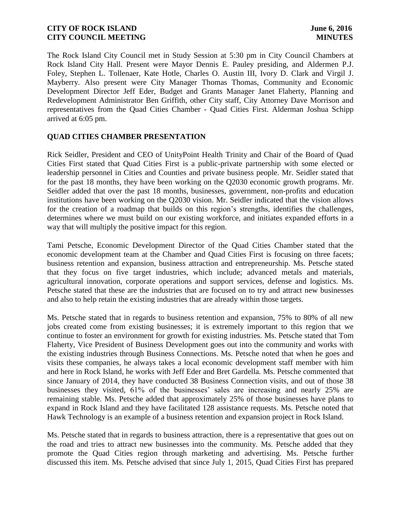The Rock Island City Council met in Study Session at 5:30 pm in City Council Chambers at Rock Island City Hall. Present were Mayor Dennis E. Pauley presiding, and Aldermen P.J. Foley, Stephen L. Tollenaer, Kate Hotle, Charles O. Austin III, Ivory D. Clark and Virgil J. Mayberry. Also present were City Manager Thomas Thomas, Community and Economic Development Director Jeff Eder, Budget and Grants Manager Janet Flaherty, Planning and Redevelopment Administrator Ben Griffith, other City staff, City Attorney Dave Morrison and representatives from the Quad Cities Chamber - Quad Cities First. Alderman Joshua Schipp arrived at 6:05 pm.

# **QUAD CITIES CHAMBER PRESENTATION**

Rick Seidler, President and CEO of UnityPoint Health Trinity and Chair of the Board of Quad Cities First stated that Quad Cities First is a public-private partnership with some elected or leadership personnel in Cities and Counties and private business people. Mr. Seidler stated that for the past 18 months, they have been working on the Q2030 economic growth programs. Mr. Seidler added that over the past 18 months, businesses, government, non-profits and education institutions have been working on the Q2030 vision. Mr. Seidler indicated that the vision allows for the creation of a roadmap that builds on this region's strengths, identifies the challenges, determines where we must build on our existing workforce, and initiates expanded efforts in a way that will multiply the positive impact for this region.

Tami Petsche, Economic Development Director of the Quad Cities Chamber stated that the economic development team at the Chamber and Quad Cities First is focusing on three facets; business retention and expansion, business attraction and entrepreneurship. Ms. Petsche stated that they focus on five target industries, which include; advanced metals and materials, agricultural innovation, corporate operations and support services, defense and logistics. Ms. Petsche stated that these are the industries that are focused on to try and attract new businesses and also to help retain the existing industries that are already within those targets.

Ms. Petsche stated that in regards to business retention and expansion, 75% to 80% of all new jobs created come from existing businesses; it is extremely important to this region that we continue to foster an environment for growth for existing industries. Ms. Petsche stated that Tom Flaherty, Vice President of Business Development goes out into the community and works with the existing industries through Business Connections. Ms. Petsche noted that when he goes and visits these companies, he always takes a local economic development staff member with him and here in Rock Island, he works with Jeff Eder and Bret Gardella. Ms. Petsche commented that since January of 2014, they have conducted 38 Business Connection visits, and out of those 38 businesses they visited, 61% of the businesses' sales are increasing and nearly 25% are remaining stable. Ms. Petsche added that approximately 25% of those businesses have plans to expand in Rock Island and they have facilitated 128 assistance requests. Ms. Petsche noted that Hawk Technology is an example of a business retention and expansion project in Rock Island.

Ms. Petsche stated that in regards to business attraction, there is a representative that goes out on the road and tries to attract new businesses into the community. Ms. Petsche added that they promote the Quad Cities region through marketing and advertising. Ms. Petsche further discussed this item. Ms. Petsche advised that since July 1, 2015, Quad Cities First has prepared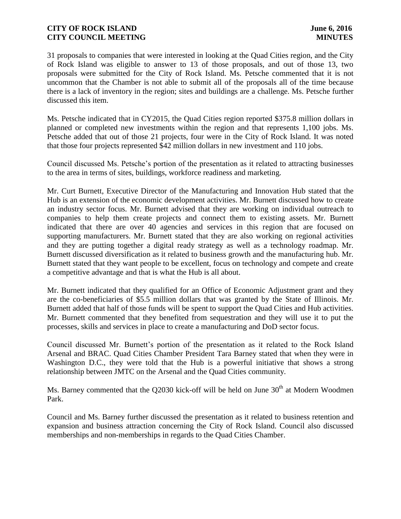31 proposals to companies that were interested in looking at the Quad Cities region, and the City of Rock Island was eligible to answer to 13 of those proposals, and out of those 13, two proposals were submitted for the City of Rock Island. Ms. Petsche commented that it is not uncommon that the Chamber is not able to submit all of the proposals all of the time because there is a lack of inventory in the region; sites and buildings are a challenge. Ms. Petsche further discussed this item.

Ms. Petsche indicated that in CY2015, the Quad Cities region reported \$375.8 million dollars in planned or completed new investments within the region and that represents 1,100 jobs. Ms. Petsche added that out of those 21 projects, four were in the City of Rock Island. It was noted that those four projects represented \$42 million dollars in new investment and 110 jobs.

Council discussed Ms. Petsche's portion of the presentation as it related to attracting businesses to the area in terms of sites, buildings, workforce readiness and marketing.

Mr. Curt Burnett, Executive Director of the Manufacturing and Innovation Hub stated that the Hub is an extension of the economic development activities. Mr. Burnett discussed how to create an industry sector focus. Mr. Burnett advised that they are working on individual outreach to companies to help them create projects and connect them to existing assets. Mr. Burnett indicated that there are over 40 agencies and services in this region that are focused on supporting manufacturers. Mr. Burnett stated that they are also working on regional activities and they are putting together a digital ready strategy as well as a technology roadmap. Mr. Burnett discussed diversification as it related to business growth and the manufacturing hub. Mr. Burnett stated that they want people to be excellent, focus on technology and compete and create a competitive advantage and that is what the Hub is all about.

Mr. Burnett indicated that they qualified for an Office of Economic Adjustment grant and they are the co-beneficiaries of \$5.5 million dollars that was granted by the State of Illinois. Mr. Burnett added that half of those funds will be spent to support the Quad Cities and Hub activities. Mr. Burnett commented that they benefited from sequestration and they will use it to put the processes, skills and services in place to create a manufacturing and DoD sector focus.

Council discussed Mr. Burnett's portion of the presentation as it related to the Rock Island Arsenal and BRAC. Quad Cities Chamber President Tara Barney stated that when they were in Washington D.C., they were told that the Hub is a powerful initiative that shows a strong relationship between JMTC on the Arsenal and the Quad Cities community.

Ms. Barney commented that the  $Q2030$  kick-off will be held on June  $30<sup>th</sup>$  at Modern Woodmen Park.

Council and Ms. Barney further discussed the presentation as it related to business retention and expansion and business attraction concerning the City of Rock Island. Council also discussed memberships and non-memberships in regards to the Quad Cities Chamber.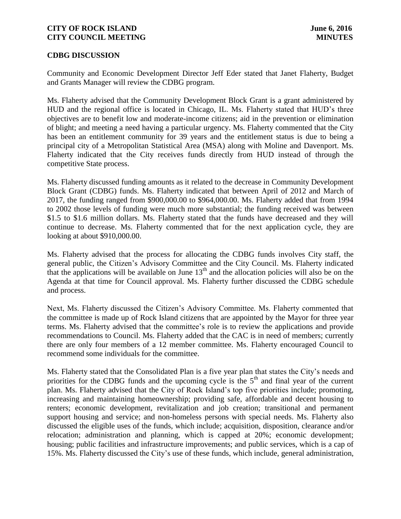### **CDBG DISCUSSION**

Community and Economic Development Director Jeff Eder stated that Janet Flaherty, Budget and Grants Manager will review the CDBG program.

Ms. Flaherty advised that the Community Development Block Grant is a grant administered by HUD and the regional office is located in Chicago, IL. Ms. Flaherty stated that HUD's three objectives are to benefit low and moderate-income citizens; aid in the prevention or elimination of blight; and meeting a need having a particular urgency. Ms. Flaherty commented that the City has been an entitlement community for 39 years and the entitlement status is due to being a principal city of a Metropolitan Statistical Area (MSA) along with Moline and Davenport. Ms. Flaherty indicated that the City receives funds directly from HUD instead of through the competitive State process.

Ms. Flaherty discussed funding amounts as it related to the decrease in Community Development Block Grant (CDBG) funds. Ms. Flaherty indicated that between April of 2012 and March of 2017, the funding ranged from \$900,000.00 to \$964,000.00. Ms. Flaherty added that from 1994 to 2002 those levels of funding were much more substantial; the funding received was between \$1.5 to \$1.6 million dollars. Ms. Flaherty stated that the funds have decreased and they will continue to decrease. Ms. Flaherty commented that for the next application cycle, they are looking at about \$910,000.00.

Ms. Flaherty advised that the process for allocating the CDBG funds involves City staff, the general public, the Citizen's Advisory Committee and the City Council. Ms. Flaherty indicated that the applications will be available on June  $13<sup>th</sup>$  and the allocation policies will also be on the Agenda at that time for Council approval. Ms. Flaherty further discussed the CDBG schedule and process.

Next, Ms. Flaherty discussed the Citizen's Advisory Committee. Ms. Flaherty commented that the committee is made up of Rock Island citizens that are appointed by the Mayor for three year terms. Ms. Flaherty advised that the committee's role is to review the applications and provide recommendations to Council. Ms. Flaherty added that the CAC is in need of members; currently there are only four members of a 12 member committee. Ms. Flaherty encouraged Council to recommend some individuals for the committee.

Ms. Flaherty stated that the Consolidated Plan is a five year plan that states the City's needs and priorities for the CDBG funds and the upcoming cycle is the  $5<sup>th</sup>$  and final year of the current plan. Ms. Flaherty advised that the City of Rock Island's top five priorities include; promoting, increasing and maintaining homeownership; providing safe, affordable and decent housing to renters; economic development, revitalization and job creation; transitional and permanent support housing and service; and non-homeless persons with special needs. Ms. Flaherty also discussed the eligible uses of the funds, which include; acquisition, disposition, clearance and/or relocation; administration and planning, which is capped at 20%; economic development; housing; public facilities and infrastructure improvements; and public services, which is a cap of 15%. Ms. Flaherty discussed the City's use of these funds, which include, general administration,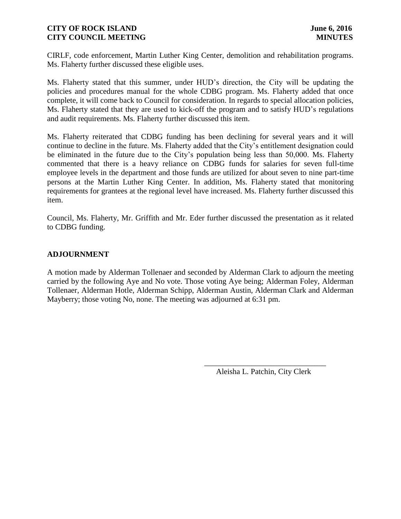CIRLF, code enforcement, Martin Luther King Center, demolition and rehabilitation programs. Ms. Flaherty further discussed these eligible uses.

Ms. Flaherty stated that this summer, under HUD's direction, the City will be updating the policies and procedures manual for the whole CDBG program. Ms. Flaherty added that once complete, it will come back to Council for consideration. In regards to special allocation policies, Ms. Flaherty stated that they are used to kick-off the program and to satisfy HUD's regulations and audit requirements. Ms. Flaherty further discussed this item.

Ms. Flaherty reiterated that CDBG funding has been declining for several years and it will continue to decline in the future. Ms. Flaherty added that the City's entitlement designation could be eliminated in the future due to the City's population being less than 50,000. Ms. Flaherty commented that there is a heavy reliance on CDBG funds for salaries for seven full-time employee levels in the department and those funds are utilized for about seven to nine part-time persons at the Martin Luther King Center. In addition, Ms. Flaherty stated that monitoring requirements for grantees at the regional level have increased. Ms. Flaherty further discussed this item.

Council, Ms. Flaherty, Mr. Griffith and Mr. Eder further discussed the presentation as it related to CDBG funding.

# **ADJOURNMENT**

A motion made by Alderman Tollenaer and seconded by Alderman Clark to adjourn the meeting carried by the following Aye and No vote. Those voting Aye being; Alderman Foley, Alderman Tollenaer, Alderman Hotle, Alderman Schipp, Alderman Austin, Alderman Clark and Alderman Mayberry; those voting No, none. The meeting was adjourned at 6:31 pm.

 $\overline{\phantom{a}}$  , and the contract of the contract of the contract of the contract of the contract of the contract of the contract of the contract of the contract of the contract of the contract of the contract of the contrac

Aleisha L. Patchin, City Clerk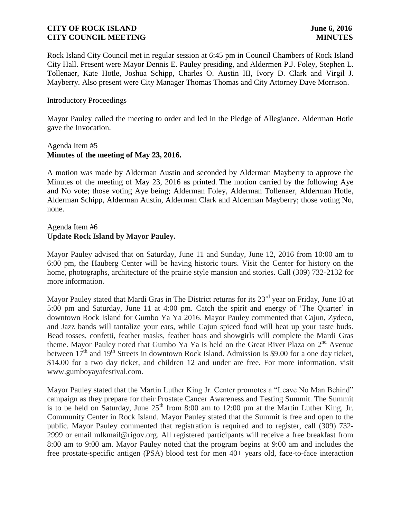Rock Island City Council met in regular session at 6:45 pm in Council Chambers of Rock Island City Hall. Present were Mayor Dennis E. Pauley presiding, and Aldermen P.J. Foley, Stephen L. Tollenaer, Kate Hotle, Joshua Schipp, Charles O. Austin III, Ivory D. Clark and Virgil J. Mayberry. Also present were City Manager Thomas Thomas and City Attorney Dave Morrison.

### Introductory Proceedings

Mayor Pauley called the meeting to order and led in the Pledge of Allegiance. Alderman Hotle gave the Invocation.

### Agenda Item #5 **Minutes of the meeting of May 23, 2016.**

A motion was made by Alderman Austin and seconded by Alderman Mayberry to approve the Minutes of the meeting of May 23, 2016 as printed. The motion carried by the following Aye and No vote; those voting Aye being; Alderman Foley, Alderman Tollenaer, Alderman Hotle, Alderman Schipp, Alderman Austin, Alderman Clark and Alderman Mayberry; those voting No, none.

## Agenda Item #6 **Update Rock Island by Mayor Pauley.**

Mayor Pauley advised that on Saturday, June 11 and Sunday, June 12, 2016 from 10:00 am to 6:00 pm, the Hauberg Center will be having historic tours. Visit the Center for history on the home, photographs, architecture of the prairie style mansion and stories. Call (309) 732-2132 for more information.

Mayor Pauley stated that Mardi Gras in The District returns for its 23<sup>rd</sup> year on Friday, June 10 at 5:00 pm and Saturday, June 11 at 4:00 pm. Catch the spirit and energy of 'The Quarter' in downtown Rock Island for Gumbo Ya Ya 2016. Mayor Pauley commented that Cajun, Zydeco, and Jazz bands will tantalize your ears, while Cajun spiced food will heat up your taste buds. Bead tosses, confetti, feather masks, feather boas and showgirls will complete the Mardi Gras theme. Mayor Pauley noted that Gumbo Ya Ya is held on the Great River Plaza on 2<sup>nd</sup> Avenue between  $17<sup>th</sup>$  and  $19<sup>th</sup>$  Streets in downtown Rock Island. Admission is \$9.00 for a one day ticket, \$14.00 for a two day ticket, and children 12 and under are free. For more information, visit www.gumboyayafestival.com.

Mayor Pauley stated that the Martin Luther King Jr. Center promotes a "Leave No Man Behind" campaign as they prepare for their Prostate Cancer Awareness and Testing Summit. The Summit is to be held on Saturday, June  $25<sup>th</sup>$  from 8:00 am to 12:00 pm at the Martin Luther King, Jr. Community Center in Rock Island. Mayor Pauley stated that the Summit is free and open to the public. Mayor Pauley commented that registration is required and to register, call (309) 732- 2999 or email mlkmail@rigov.org. All registered participants will receive a free breakfast from 8:00 am to 9:00 am. Mayor Pauley noted that the program begins at 9:00 am and includes the free prostate-specific antigen (PSA) blood test for men 40+ years old, face-to-face interaction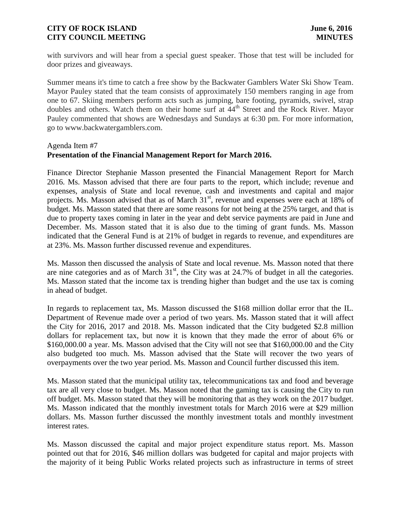with survivors and will hear from a special guest speaker. Those that test will be included for door prizes and giveaways.

Summer means it's time to catch a free show by the Backwater Gamblers Water Ski Show Team. Mayor Pauley stated that the team consists of approximately 150 members ranging in age from one to 67. Skiing members perform acts such as jumping, bare footing, pyramids, swivel, strap doubles and others. Watch them on their home surf at 44<sup>th</sup> Street and the Rock River. Mayor Pauley commented that shows are Wednesdays and Sundays at 6:30 pm. For more information, go to www.backwatergamblers.com.

# Agenda Item #7 **Presentation of the Financial Management Report for March 2016.**

Finance Director Stephanie Masson presented the Financial Management Report for March 2016. Ms. Masson advised that there are four parts to the report, which include; revenue and expenses, analysis of State and local revenue, cash and investments and capital and major projects. Ms. Masson advised that as of March 31<sup>st</sup>, revenue and expenses were each at 18% of budget. Ms. Masson stated that there are some reasons for not being at the 25% target, and that is due to property taxes coming in later in the year and debt service payments are paid in June and December. Ms. Masson stated that it is also due to the timing of grant funds. Ms. Masson indicated that the General Fund is at 21% of budget in regards to revenue, and expenditures are at 23%. Ms. Masson further discussed revenue and expenditures.

Ms. Masson then discussed the analysis of State and local revenue. Ms. Masson noted that there are nine categories and as of March  $31<sup>st</sup>$ , the City was at 24.7% of budget in all the categories. Ms. Masson stated that the income tax is trending higher than budget and the use tax is coming in ahead of budget.

In regards to replacement tax, Ms. Masson discussed the \$168 million dollar error that the IL. Department of Revenue made over a period of two years. Ms. Masson stated that it will affect the City for 2016, 2017 and 2018. Ms. Masson indicated that the City budgeted \$2.8 million dollars for replacement tax, but now it is known that they made the error of about 6% or \$160,000.00 a year. Ms. Masson advised that the City will not see that \$160,000.00 and the City also budgeted too much. Ms. Masson advised that the State will recover the two years of overpayments over the two year period. Ms. Masson and Council further discussed this item.

Ms. Masson stated that the municipal utility tax, telecommunications tax and food and beverage tax are all very close to budget. Ms. Masson noted that the gaming tax is causing the City to run off budget. Ms. Masson stated that they will be monitoring that as they work on the 2017 budget. Ms. Masson indicated that the monthly investment totals for March 2016 were at \$29 million dollars. Ms. Masson further discussed the monthly investment totals and monthly investment interest rates.

Ms. Masson discussed the capital and major project expenditure status report. Ms. Masson pointed out that for 2016, \$46 million dollars was budgeted for capital and major projects with the majority of it being Public Works related projects such as infrastructure in terms of street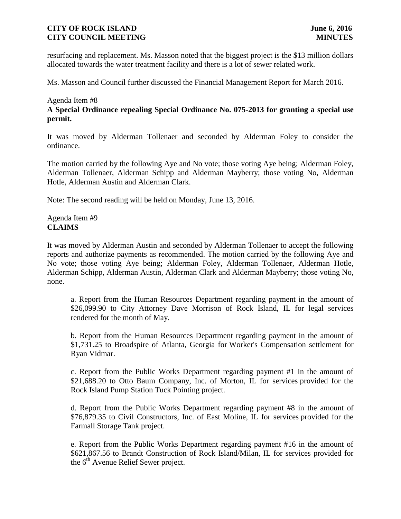resurfacing and replacement. Ms. Masson noted that the biggest project is the \$13 million dollars allocated towards the water treatment facility and there is a lot of sewer related work.

Ms. Masson and Council further discussed the Financial Management Report for March 2016.

#### Agenda Item #8

**A Special Ordinance repealing Special Ordinance No. 075-2013 for granting a special use permit.**

It was moved by Alderman Tollenaer and seconded by Alderman Foley to consider the ordinance.

The motion carried by the following Aye and No vote; those voting Aye being; Alderman Foley, Alderman Tollenaer, Alderman Schipp and Alderman Mayberry; those voting No, Alderman Hotle, Alderman Austin and Alderman Clark.

Note: The second reading will be held on Monday, June 13, 2016.

Agenda Item #9 **CLAIMS**

It was moved by Alderman Austin and seconded by Alderman Tollenaer to accept the following reports and authorize payments as recommended. The motion carried by the following Aye and No vote; those voting Aye being; Alderman Foley, Alderman Tollenaer, Alderman Hotle, Alderman Schipp, Alderman Austin, Alderman Clark and Alderman Mayberry; those voting No, none.

a. Report from the Human Resources Department regarding payment in the amount of \$26,099.90 to City Attorney Dave Morrison of Rock Island, IL for legal services rendered for the month of May.

b. Report from the Human Resources Department regarding payment in the amount of \$1,731.25 to Broadspire of Atlanta, Georgia for Worker's Compensation settlement for Ryan Vidmar.

c. Report from the Public Works Department regarding payment #1 in the amount of \$21,688.20 to Otto Baum Company, Inc. of Morton, IL for services provided for the Rock Island Pump Station Tuck Pointing project.

d. Report from the Public Works Department regarding payment #8 in the amount of \$76,879.35 to Civil Constructors, Inc. of East Moline, IL for services provided for the Farmall Storage Tank project.

e. Report from the Public Works Department regarding payment #16 in the amount of \$621,867.56 to Brandt Construction of Rock Island/Milan, IL for services provided for the  $6<sup>th</sup>$  Avenue Relief Sewer project.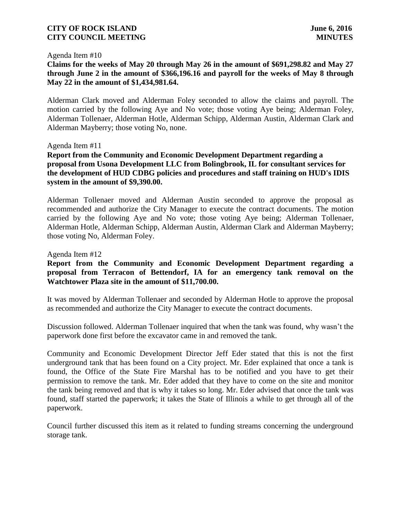#### Agenda Item #10

# **Claims for the weeks of May 20 through May 26 in the amount of \$691,298.82 and May 27 through June 2 in the amount of \$366,196.16 and payroll for the weeks of May 8 through May 22 in the amount of \$1,434,981.64.**

Alderman Clark moved and Alderman Foley seconded to allow the claims and payroll. The motion carried by the following Aye and No vote; those voting Aye being; Alderman Foley, Alderman Tollenaer, Alderman Hotle, Alderman Schipp, Alderman Austin, Alderman Clark and Alderman Mayberry; those voting No, none.

#### Agenda Item #11

**Report from the Community and Economic Development Department regarding a proposal from Usona Development LLC from Bolingbrook, IL for consultant services for the development of HUD CDBG policies and procedures and staff training on HUD's IDIS system in the amount of \$9,390.00.**

Alderman Tollenaer moved and Alderman Austin seconded to approve the proposal as recommended and authorize the City Manager to execute the contract documents. The motion carried by the following Aye and No vote; those voting Aye being; Alderman Tollenaer, Alderman Hotle, Alderman Schipp, Alderman Austin, Alderman Clark and Alderman Mayberry; those voting No, Alderman Foley.

#### Agenda Item #12

## **Report from the Community and Economic Development Department regarding a proposal from Terracon of Bettendorf, IA for an emergency tank removal on the Watchtower Plaza site in the amount of \$11,700.00.**

It was moved by Alderman Tollenaer and seconded by Alderman Hotle to approve the proposal as recommended and authorize the City Manager to execute the contract documents.

Discussion followed. Alderman Tollenaer inquired that when the tank was found, why wasn't the paperwork done first before the excavator came in and removed the tank.

Community and Economic Development Director Jeff Eder stated that this is not the first underground tank that has been found on a City project. Mr. Eder explained that once a tank is found, the Office of the State Fire Marshal has to be notified and you have to get their permission to remove the tank. Mr. Eder added that they have to come on the site and monitor the tank being removed and that is why it takes so long. Mr. Eder advised that once the tank was found, staff started the paperwork; it takes the State of Illinois a while to get through all of the paperwork.

Council further discussed this item as it related to funding streams concerning the underground storage tank.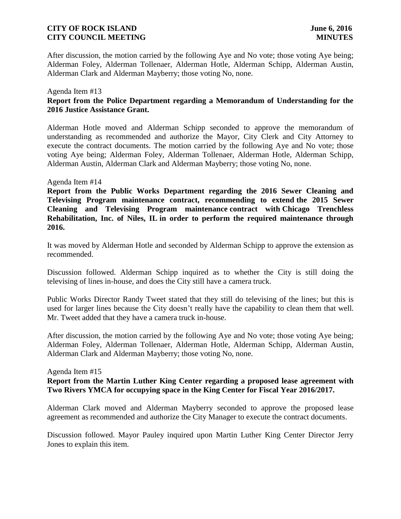After discussion, the motion carried by the following Aye and No vote; those voting Aye being; Alderman Foley, Alderman Tollenaer, Alderman Hotle, Alderman Schipp, Alderman Austin, Alderman Clark and Alderman Mayberry; those voting No, none.

### Agenda Item #13 **Report from the Police Department regarding a Memorandum of Understanding for the 2016 Justice Assistance Grant.**

Alderman Hotle moved and Alderman Schipp seconded to approve the memorandum of understanding as recommended and authorize the Mayor, City Clerk and City Attorney to execute the contract documents. The motion carried by the following Aye and No vote; those voting Aye being; Alderman Foley, Alderman Tollenaer, Alderman Hotle, Alderman Schipp, Alderman Austin, Alderman Clark and Alderman Mayberry; those voting No, none.

### Agenda Item #14

**Report from the Public Works Department regarding the 2016 Sewer Cleaning and Televising Program maintenance contract, recommending to extend the 2015 Sewer Cleaning and Televising Program maintenance contract with Chicago Trenchless Rehabilitation, Inc. of Niles, IL in order to perform the required maintenance through 2016.**

It was moved by Alderman Hotle and seconded by Alderman Schipp to approve the extension as recommended.

Discussion followed. Alderman Schipp inquired as to whether the City is still doing the televising of lines in-house, and does the City still have a camera truck.

Public Works Director Randy Tweet stated that they still do televising of the lines; but this is used for larger lines because the City doesn't really have the capability to clean them that well. Mr. Tweet added that they have a camera truck in-house.

After discussion, the motion carried by the following Aye and No vote; those voting Aye being; Alderman Foley, Alderman Tollenaer, Alderman Hotle, Alderman Schipp, Alderman Austin, Alderman Clark and Alderman Mayberry; those voting No, none.

#### Agenda Item #15

# **Report from the Martin Luther King Center regarding a proposed lease agreement with Two Rivers YMCA for occupying space in the King Center for Fiscal Year 2016/2017.**

Alderman Clark moved and Alderman Mayberry seconded to approve the proposed lease agreement as recommended and authorize the City Manager to execute the contract documents.

Discussion followed. Mayor Pauley inquired upon Martin Luther King Center Director Jerry Jones to explain this item.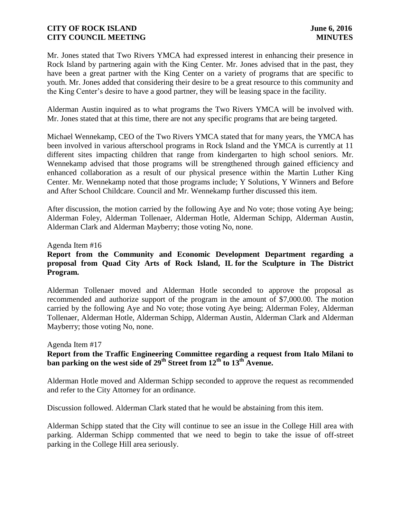Mr. Jones stated that Two Rivers YMCA had expressed interest in enhancing their presence in Rock Island by partnering again with the King Center. Mr. Jones advised that in the past, they have been a great partner with the King Center on a variety of programs that are specific to youth. Mr. Jones added that considering their desire to be a great resource to this community and the King Center's desire to have a good partner, they will be leasing space in the facility.

Alderman Austin inquired as to what programs the Two Rivers YMCA will be involved with. Mr. Jones stated that at this time, there are not any specific programs that are being targeted.

Michael Wennekamp, CEO of the Two Rivers YMCA stated that for many years, the YMCA has been involved in various afterschool programs in Rock Island and the YMCA is currently at 11 different sites impacting children that range from kindergarten to high school seniors. Mr. Wennekamp advised that those programs will be strengthened through gained efficiency and enhanced collaboration as a result of our physical presence within the Martin Luther King Center. Mr. Wennekamp noted that those programs include; Y Solutions, Y Winners and Before and After School Childcare. Council and Mr. Wennekamp further discussed this item.

After discussion, the motion carried by the following Aye and No vote; those voting Aye being; Alderman Foley, Alderman Tollenaer, Alderman Hotle, Alderman Schipp, Alderman Austin, Alderman Clark and Alderman Mayberry; those voting No, none.

#### Agenda Item #16

# **Report from the Community and Economic Development Department regarding a proposal from Quad City Arts of Rock Island, IL for the Sculpture in The District Program.**

Alderman Tollenaer moved and Alderman Hotle seconded to approve the proposal as recommended and authorize support of the program in the amount of \$7,000.00. The motion carried by the following Aye and No vote; those voting Aye being; Alderman Foley, Alderman Tollenaer, Alderman Hotle, Alderman Schipp, Alderman Austin, Alderman Clark and Alderman Mayberry; those voting No, none.

#### Agenda Item #17

# **Report from the Traffic Engineering Committee regarding a request from Italo Milani to ban parking on the west side of 29th Street from 12th to 13th Avenue.**

Alderman Hotle moved and Alderman Schipp seconded to approve the request as recommended and refer to the City Attorney for an ordinance.

Discussion followed. Alderman Clark stated that he would be abstaining from this item.

Alderman Schipp stated that the City will continue to see an issue in the College Hill area with parking. Alderman Schipp commented that we need to begin to take the issue of off-street parking in the College Hill area seriously.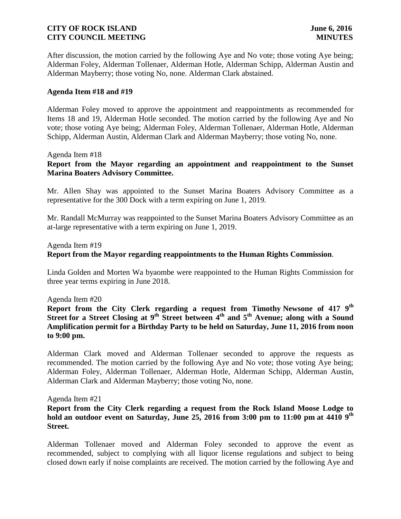After discussion, the motion carried by the following Aye and No vote; those voting Aye being; Alderman Foley, Alderman Tollenaer, Alderman Hotle, Alderman Schipp, Alderman Austin and Alderman Mayberry; those voting No, none. Alderman Clark abstained.

### **Agenda Item #18 and #19**

Alderman Foley moved to approve the appointment and reappointments as recommended for Items 18 and 19, Alderman Hotle seconded. The motion carried by the following Aye and No vote; those voting Aye being; Alderman Foley, Alderman Tollenaer, Alderman Hotle, Alderman Schipp, Alderman Austin, Alderman Clark and Alderman Mayberry; those voting No, none.

Agenda Item #18

## **Report from the Mayor regarding an appointment and reappointment to the Sunset Marina Boaters Advisory Committee.**

Mr. Allen Shay was appointed to the Sunset Marina Boaters Advisory Committee as a representative for the 300 Dock with a term expiring on June 1, 2019.

Mr. Randall McMurray was reappointed to the Sunset Marina Boaters Advisory Committee as an at-large representative with a term expiring on June 1, 2019.

Agenda Item #19

### **Report from the Mayor regarding reappointments to the Human Rights Commission**.

Linda Golden and Morten Wa byaombe were reappointed to the Human Rights Commission for three year terms expiring in June 2018.

Agenda Item #20

**Report from the City Clerk regarding a request from Timothy Newsone of 417 9th Street for a Street Closing at 9th Street between 4th and 5th Avenue; along with a Sound Amplification permit for a Birthday Party to be held on Saturday, June 11, 2016 from noon to 9:00 pm.**

Alderman Clark moved and Alderman Tollenaer seconded to approve the requests as recommended. The motion carried by the following Aye and No vote; those voting Aye being; Alderman Foley, Alderman Tollenaer, Alderman Hotle, Alderman Schipp, Alderman Austin, Alderman Clark and Alderman Mayberry; those voting No, none.

Agenda Item #21

### **Report from the City Clerk regarding a request from the Rock Island Moose Lodge to hold an outdoor event on Saturday, June 25, 2016 from 3:00 pm to 11:00 pm at 4410 9th Street.**

Alderman Tollenaer moved and Alderman Foley seconded to approve the event as recommended, subject to complying with all liquor license regulations and subject to being closed down early if noise complaints are received. The motion carried by the following Aye and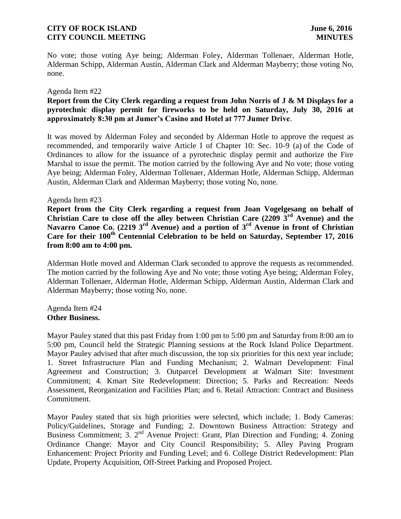No vote; those voting Aye being; Alderman Foley, Alderman Tollenaer, Alderman Hotle, Alderman Schipp, Alderman Austin, Alderman Clark and Alderman Mayberry; those voting No, none.

#### Agenda Item #22

# **Report from the City Clerk regarding a request from John Norris of J & M Displays for a pyrotechnic display permit for fireworks to be held on Saturday, July 30, 2016 at approximately 8:30 pm at Jumer's Casino and Hotel at 777 Jumer Drive**.

It was moved by Alderman Foley and seconded by Alderman Hotle to approve the request as recommended, and temporarily waive Article I of Chapter 10: Sec. 10-9 (a) of the Code of Ordinances to allow for the issuance of a pyrotechnic display permit and authorize the Fire Marshal to issue the permit. The motion carried by the following Aye and No vote; those voting Aye being; Alderman Foley, Alderman Tollenaer, Alderman Hotle, Alderman Schipp, Alderman Austin, Alderman Clark and Alderman Mayberry; those voting No, none.

### Agenda Item #23

**Report from the City Clerk regarding a request from Joan Vogelgesang on behalf of Christian Care to close off the alley between Christian Care (2209 3rd Avenue) and the Navarro Canoe Co. (2219 3rd Avenue) and a portion of 3rd Avenue in front of Christian Care for their 100th Centennial Celebration to be held on Saturday, September 17, 2016 from 8:00 am to 4:00 pm.**

Alderman Hotle moved and Alderman Clark seconded to approve the requests as recommended. The motion carried by the following Aye and No vote; those voting Aye being; Alderman Foley, Alderman Tollenaer, Alderman Hotle, Alderman Schipp, Alderman Austin, Alderman Clark and Alderman Mayberry; those voting No, none.

### Agenda Item #24 **Other Business.**

Mayor Pauley stated that this past Friday from 1:00 pm to 5:00 pm and Saturday from 8:00 am to 5:00 pm, Council held the Strategic Planning sessions at the Rock Island Police Department. Mayor Pauley advised that after much discussion, the top six priorities for this next year include; 1. Street Infrastructure Plan and Funding Mechanism; 2. Walmart Development: Final Agreement and Construction; 3. Outparcel Development at Walmart Site: Investment Commitment; 4. Kmart Site Redevelopment: Direction; 5. Parks and Recreation: Needs Assessment, Reorganization and Facilities Plan; and 6. Retail Attraction: Contract and Business Commitment.

Mayor Pauley stated that six high priorities were selected, which include; 1. Body Cameras: Policy/Guidelines, Storage and Funding; 2. Downtown Business Attraction: Strategy and Business Commitment; 3. 2<sup>nd</sup> Avenue Project: Grant, Plan Direction and Funding; 4. Zoning Ordinance Change: Mayor and City Council Responsibility; 5. Alley Paving Program Enhancement: Project Priority and Funding Level; and 6. College District Redevelopment: Plan Update, Property Acquisition, Off-Street Parking and Proposed Project.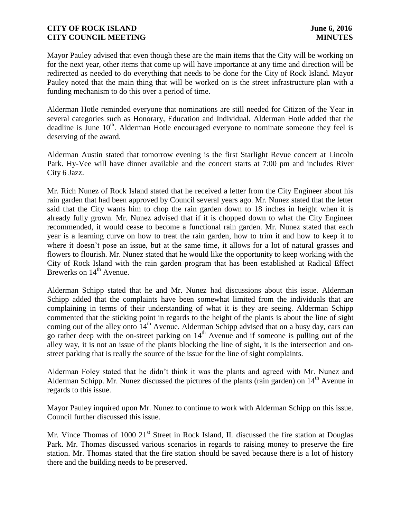Mayor Pauley advised that even though these are the main items that the City will be working on for the next year, other items that come up will have importance at any time and direction will be redirected as needed to do everything that needs to be done for the City of Rock Island. Mayor Pauley noted that the main thing that will be worked on is the street infrastructure plan with a funding mechanism to do this over a period of time.

Alderman Hotle reminded everyone that nominations are still needed for Citizen of the Year in several categories such as Honorary, Education and Individual. Alderman Hotle added that the deadline is June  $10<sup>th</sup>$ . Alderman Hotle encouraged everyone to nominate someone they feel is deserving of the award.

Alderman Austin stated that tomorrow evening is the first Starlight Revue concert at Lincoln Park. Hy-Vee will have dinner available and the concert starts at 7:00 pm and includes River City 6 Jazz.

Mr. Rich Nunez of Rock Island stated that he received a letter from the City Engineer about his rain garden that had been approved by Council several years ago. Mr. Nunez stated that the letter said that the City wants him to chop the rain garden down to 18 inches in height when it is already fully grown. Mr. Nunez advised that if it is chopped down to what the City Engineer recommended, it would cease to become a functional rain garden. Mr. Nunez stated that each year is a learning curve on how to treat the rain garden, how to trim it and how to keep it to where it doesn't pose an issue, but at the same time, it allows for a lot of natural grasses and flowers to flourish. Mr. Nunez stated that he would like the opportunity to keep working with the City of Rock Island with the rain garden program that has been established at Radical Effect Brewerks on  $14<sup>th</sup>$  Avenue.

Alderman Schipp stated that he and Mr. Nunez had discussions about this issue. Alderman Schipp added that the complaints have been somewhat limited from the individuals that are complaining in terms of their understanding of what it is they are seeing. Alderman Schipp commented that the sticking point in regards to the height of the plants is about the line of sight coming out of the alley onto 14<sup>th</sup> Avenue. Alderman Schipp advised that on a busy day, cars can go rather deep with the on-street parking on  $14<sup>th</sup>$  Avenue and if someone is pulling out of the alley way, it is not an issue of the plants blocking the line of sight, it is the intersection and onstreet parking that is really the source of the issue for the line of sight complaints.

Alderman Foley stated that he didn't think it was the plants and agreed with Mr. Nunez and Alderman Schipp. Mr. Nunez discussed the pictures of the plants (rain garden) on 14<sup>th</sup> Avenue in regards to this issue.

Mayor Pauley inquired upon Mr. Nunez to continue to work with Alderman Schipp on this issue. Council further discussed this issue.

Mr. Vince Thomas of 1000 21<sup>st</sup> Street in Rock Island, IL discussed the fire station at Douglas Park. Mr. Thomas discussed various scenarios in regards to raising money to preserve the fire station. Mr. Thomas stated that the fire station should be saved because there is a lot of history there and the building needs to be preserved.